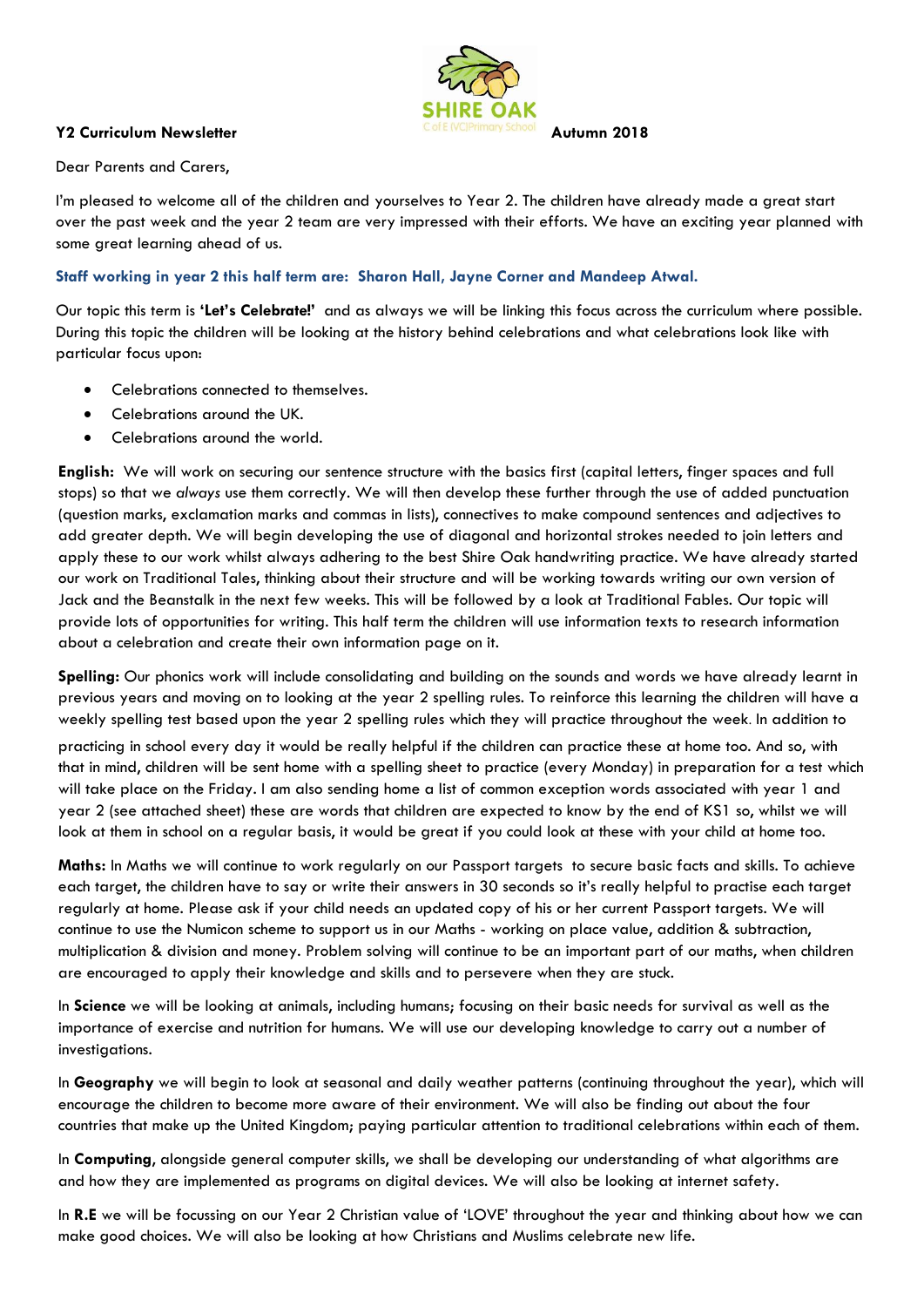

## **Y2 Curriculum Newsletter Autumn 2018**

Dear Parents and Carers,

I'm pleased to welcome all of the children and yourselves to Year 2. The children have already made a great start over the past week and the year 2 team are very impressed with their efforts. We have an exciting year planned with some great learning ahead of us.

## **Staff working in year 2 this half term are: Sharon Hall, Jayne Corner and Mandeep Atwal.**

Our topic this term is **'Let's Celebrate!'** and as always we will be linking this focus across the curriculum where possible. During this topic the children will be looking at the history behind celebrations and what celebrations look like with particular focus upon:

- Celebrations connected to themselves.
- Celebrations around the UK.
- Celebrations around the world.

**English:** We will work on securing our sentence structure with the basics first (capital letters, finger spaces and full stops) so that we *always* use them correctly. We will then develop these further through the use of added punctuation (question marks, exclamation marks and commas in lists), connectives to make compound sentences and adjectives to add greater depth. We will begin developing the use of diagonal and horizontal strokes needed to join letters and apply these to our work whilst always adhering to the best Shire Oak handwriting practice. We have already started our work on Traditional Tales, thinking about their structure and will be working towards writing our own version of Jack and the Beanstalk in the next few weeks. This will be followed by a look at Traditional Fables. Our topic will provide lots of opportunities for writing. This half term the children will use information texts to research information about a celebration and create their own information page on it.

**Spelling:** Our phonics work will include consolidating and building on the sounds and words we have already learnt in previous years and moving on to looking at the year 2 spelling rules. To reinforce this learning the children will have a weekly spelling test based upon the year 2 spelling rules which they will practice throughout the week. In addition to

practicing in school every day it would be really helpful if the children can practice these at home too. And so, with that in mind, children will be sent home with a spelling sheet to practice (every Monday) in preparation for a test which will take place on the Friday. I am also sending home a list of common exception words associated with year 1 and year 2 (see attached sheet) these are words that children are expected to know by the end of KS1 so, whilst we will look at them in school on a regular basis, it would be great if you could look at these with your child at home too.

**Maths:** In Maths we will continue to work regularly on our Passport targets to secure basic facts and skills. To achieve each target, the children have to say or write their answers in 30 seconds so it's really helpful to practise each target regularly at home. Please ask if your child needs an updated copy of his or her current Passport targets. We will continue to use the Numicon scheme to support us in our Maths - working on place value, addition & subtraction, multiplication & division and money. Problem solving will continue to be an important part of our maths, when children are encouraged to apply their knowledge and skills and to persevere when they are stuck.

In **Science** we will be looking at animals, including humans; focusing on their basic needs for survival as well as the importance of exercise and nutrition for humans. We will use our developing knowledge to carry out a number of investigations.

In **Geography** we will begin to look at seasonal and daily weather patterns (continuing throughout the year), which will encourage the children to become more aware of their environment. We will also be finding out about the four countries that make up the United Kingdom; paying particular attention to traditional celebrations within each of them.

In **Computing**, alongside general computer skills, we shall be developing our understanding of what algorithms are and how they are implemented as programs on digital devices. We will also be looking at internet safety.

In **R.E** we will be focussing on our Year 2 Christian value of 'LOVE' throughout the year and thinking about how we can make good choices. We will also be looking at how Christians and Muslims celebrate new life.